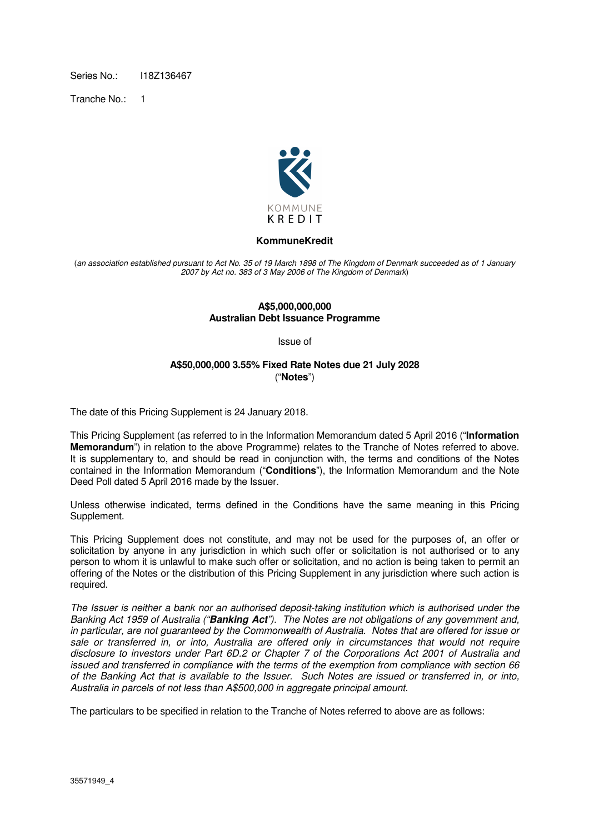Series No.: 1187136467

Tranche No.: 1



### **KommuneKredit**

(an association established pursuant to Act No. 35 of 19 March 1898 of The Kingdom of Denmark succeeded as of 1 January 2007 by Act no. 383 of 3 May 2006 of The Kingdom of Denmark)

#### **A\$5,000,000,000 Australian Debt Issuance Programme**

Issue of

### **A\$50,000,000 3.55% Fixed Rate Notes due 21 July 2028**  ("**Notes**")

The date of this Pricing Supplement is 24 January 2018.

This Pricing Supplement (as referred to in the Information Memorandum dated 5 April 2016 ("**Information Memorandum**") in relation to the above Programme) relates to the Tranche of Notes referred to above. It is supplementary to, and should be read in conjunction with, the terms and conditions of the Notes contained in the Information Memorandum ("**Conditions**"), the Information Memorandum and the Note Deed Poll dated 5 April 2016 made by the Issuer.

Unless otherwise indicated, terms defined in the Conditions have the same meaning in this Pricing Supplement.

This Pricing Supplement does not constitute, and may not be used for the purposes of, an offer or solicitation by anyone in any jurisdiction in which such offer or solicitation is not authorised or to any person to whom it is unlawful to make such offer or solicitation, and no action is being taken to permit an offering of the Notes or the distribution of this Pricing Supplement in any jurisdiction where such action is required.

The Issuer is neither a bank nor an authorised deposit-taking institution which is authorised under the Banking Act 1959 of Australia ("**Banking Act**"). The Notes are not obligations of any government and, in particular, are not guaranteed by the Commonwealth of Australia. Notes that are offered for issue or sale or transferred in, or into, Australia are offered only in circumstances that would not require disclosure to investors under Part 6D.2 or Chapter 7 of the Corporations Act 2001 of Australia and issued and transferred in compliance with the terms of the exemption from compliance with section 66 of the Banking Act that is available to the Issuer. Such Notes are issued or transferred in, or into, Australia in parcels of not less than A\$500,000 in aggregate principal amount.

The particulars to be specified in relation to the Tranche of Notes referred to above are as follows: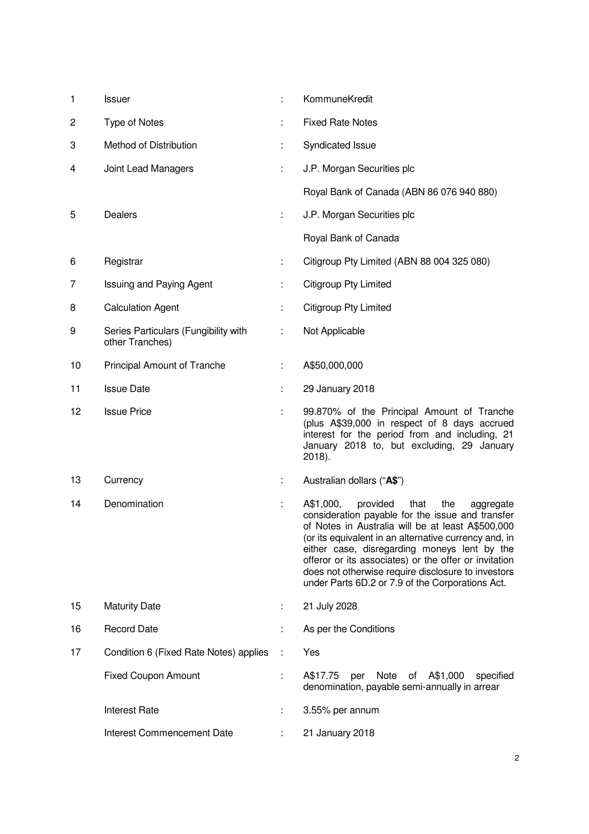| 1  | <b>Issuer</b>                                           | ÷ | KommuneKredit                                                                                                                                                                                                                                                                                                                                                                                                                          |
|----|---------------------------------------------------------|---|----------------------------------------------------------------------------------------------------------------------------------------------------------------------------------------------------------------------------------------------------------------------------------------------------------------------------------------------------------------------------------------------------------------------------------------|
| 2  | <b>Type of Notes</b>                                    | t | <b>Fixed Rate Notes</b>                                                                                                                                                                                                                                                                                                                                                                                                                |
| 3  | Method of Distribution                                  | ÷ | Syndicated Issue                                                                                                                                                                                                                                                                                                                                                                                                                       |
| 4  | Joint Lead Managers                                     | ÷ | J.P. Morgan Securities plc                                                                                                                                                                                                                                                                                                                                                                                                             |
|    |                                                         |   | Royal Bank of Canada (ABN 86 076 940 880)                                                                                                                                                                                                                                                                                                                                                                                              |
| 5  | <b>Dealers</b>                                          | ÷ | J.P. Morgan Securities plc                                                                                                                                                                                                                                                                                                                                                                                                             |
|    |                                                         |   | Royal Bank of Canada                                                                                                                                                                                                                                                                                                                                                                                                                   |
| 6  | Registrar                                               | ÷ | Citigroup Pty Limited (ABN 88 004 325 080)                                                                                                                                                                                                                                                                                                                                                                                             |
| 7  | <b>Issuing and Paying Agent</b>                         |   | <b>Citigroup Pty Limited</b>                                                                                                                                                                                                                                                                                                                                                                                                           |
| 8  | <b>Calculation Agent</b>                                | t | <b>Citigroup Pty Limited</b>                                                                                                                                                                                                                                                                                                                                                                                                           |
| 9  | Series Particulars (Fungibility with<br>other Tranches) | ÷ | Not Applicable                                                                                                                                                                                                                                                                                                                                                                                                                         |
| 10 | Principal Amount of Tranche                             | ÷ | A\$50,000,000                                                                                                                                                                                                                                                                                                                                                                                                                          |
| 11 | <b>Issue Date</b>                                       | ÷ | 29 January 2018                                                                                                                                                                                                                                                                                                                                                                                                                        |
| 12 | <b>Issue Price</b>                                      | ÷ | 99.870% of the Principal Amount of Tranche<br>(plus A\$39,000 in respect of 8 days accrued<br>interest for the period from and including, 21<br>January 2018 to, but excluding, 29 January<br>2018).                                                                                                                                                                                                                                   |
| 13 | Currency                                                | ÷ | Australian dollars ("A\$")                                                                                                                                                                                                                                                                                                                                                                                                             |
| 14 | Denomination                                            | t | A\$1,000,<br>provided<br>that<br>the<br>aggregate<br>consideration payable for the issue and transfer<br>of Notes in Australia will be at least A\$500,000<br>(or its equivalent in an alternative currency and, in<br>either case, disregarding moneys lent by the<br>offeror or its associates) or the offer or invitation<br>does not otherwise require disclosure to investors<br>under Parts 6D.2 or 7.9 of the Corporations Act. |
| 15 | <b>Maturity Date</b>                                    | ÷ | 21 July 2028                                                                                                                                                                                                                                                                                                                                                                                                                           |
| 16 | <b>Record Date</b>                                      | ÷ | As per the Conditions                                                                                                                                                                                                                                                                                                                                                                                                                  |
| 17 | Condition 6 (Fixed Rate Notes) applies                  | ÷ | Yes                                                                                                                                                                                                                                                                                                                                                                                                                                    |
|    | <b>Fixed Coupon Amount</b>                              | ÷ | A\$17.75<br>per<br>Note<br>of A\$1,000<br>specified<br>denomination, payable semi-annually in arrear                                                                                                                                                                                                                                                                                                                                   |
|    | <b>Interest Rate</b>                                    | ÷ | 3.55% per annum                                                                                                                                                                                                                                                                                                                                                                                                                        |
|    | Interest Commencement Date                              | ÷ | 21 January 2018                                                                                                                                                                                                                                                                                                                                                                                                                        |